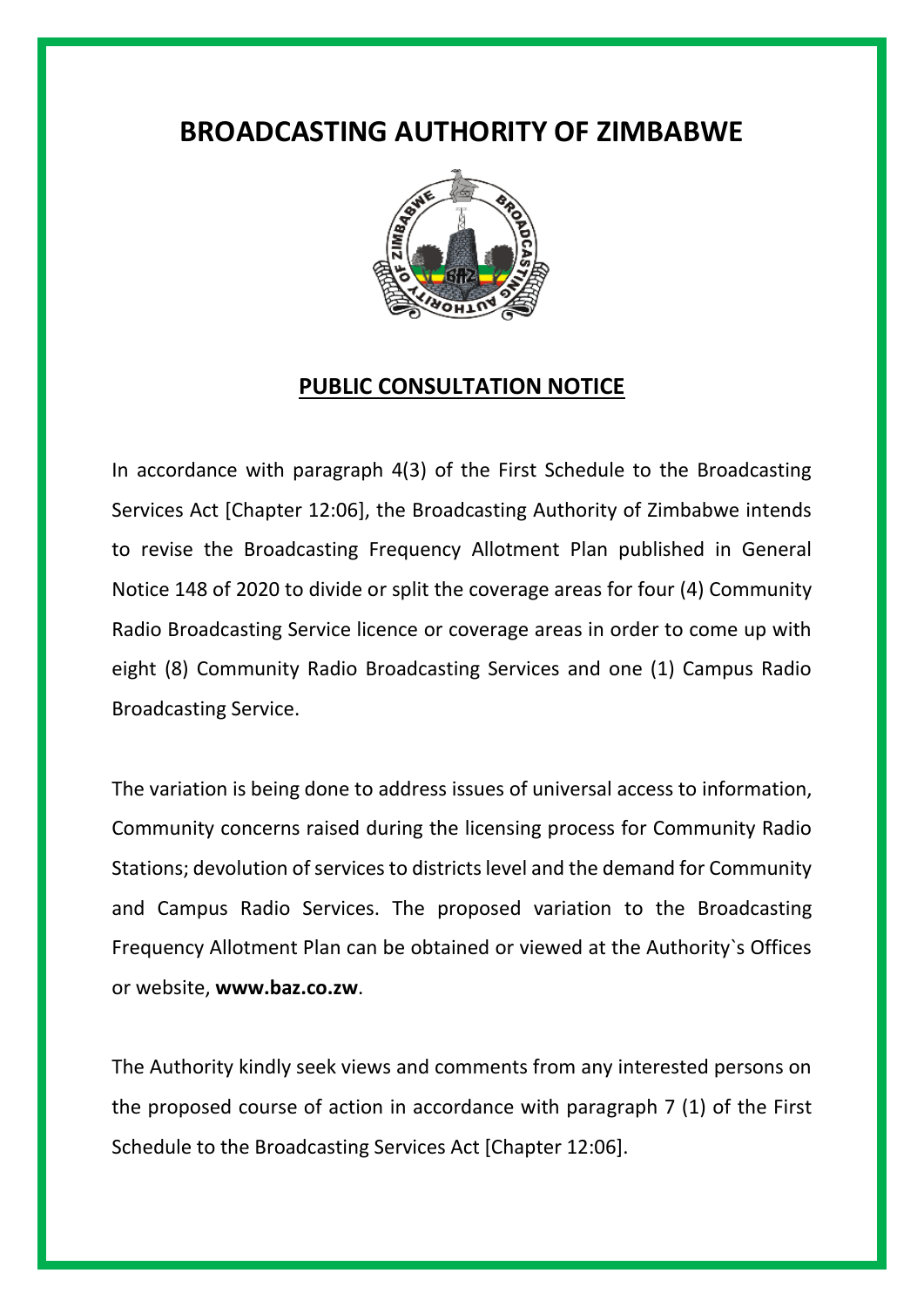## **BROADCASTING AUTHORITY OF ZIMBABWE**



## **PUBLIC CONSULTATION NOTICE**

In accordance with paragraph 4(3) of the First Schedule to the Broadcasting Services Act [Chapter 12:06], the Broadcasting Authority of Zimbabwe intends to revise the Broadcasting Frequency Allotment Plan published in General Notice 148 of 2020 to divide or split the coverage areas for four (4) Community Radio Broadcasting Service licence or coverage areas in order to come up with eight (8) Community Radio Broadcasting Services and one (1) Campus Radio Broadcasting Service.

The variation is being done to address issues of universal access to information, Community concerns raised during the licensing process for Community Radio Stations; devolution of services to districts level and the demand for Community and Campus Radio Services. The proposed variation to the Broadcasting Frequency Allotment Plan can be obtained or viewed at the Authority`s Offices or website, **www.baz.co.zw**.

The Authority kindly seek views and comments from any interested persons on the proposed course of action in accordance with paragraph 7 (1) of the First Schedule to the Broadcasting Services Act [Chapter 12:06].